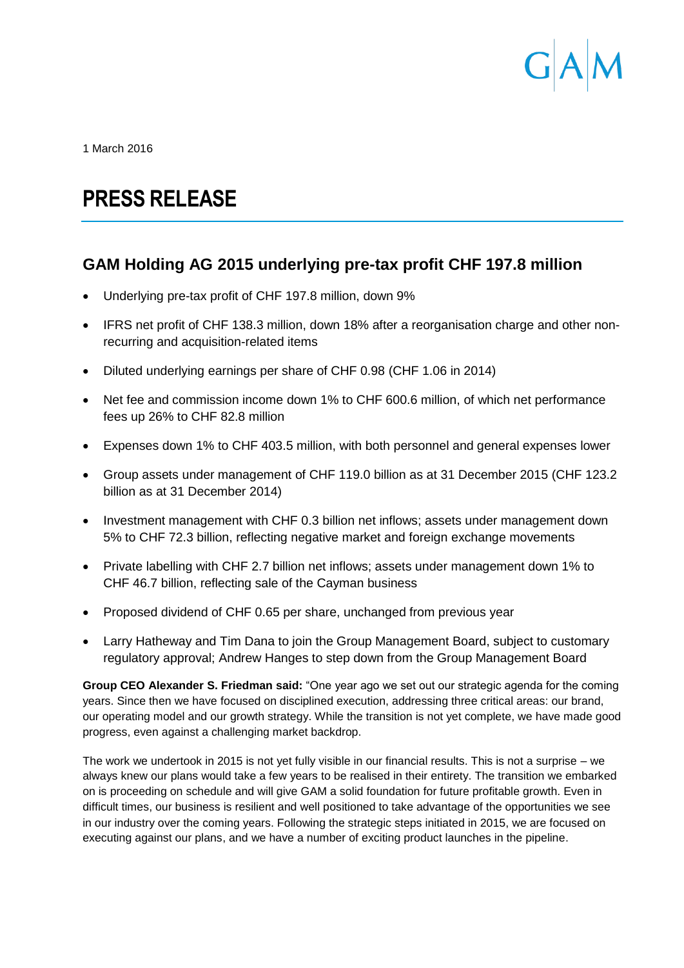

1 March 2016

# **PRESS RELEASE**

# **GAM Holding AG 2015 underlying pre-tax profit CHF 197.8 million**

- Underlying pre-tax profit of CHF 197.8 million, down 9%
- IFRS net profit of CHF 138.3 million, down 18% after a reorganisation charge and other nonrecurring and acquisition-related items
- Diluted underlying earnings per share of CHF 0.98 (CHF 1.06 in 2014)
- Net fee and commission income down 1% to CHF 600.6 million, of which net performance fees up 26% to CHF 82.8 million
- Expenses down 1% to CHF 403.5 million, with both personnel and general expenses lower
- Group assets under management of CHF 119.0 billion as at 31 December 2015 (CHF 123.2 billion as at 31 December 2014)
- Investment management with CHF 0.3 billion net inflows; assets under management down 5% to CHF 72.3 billion, reflecting negative market and foreign exchange movements
- Private labelling with CHF 2.7 billion net inflows; assets under management down 1% to CHF 46.7 billion, reflecting sale of the Cayman business
- Proposed dividend of CHF 0.65 per share, unchanged from previous year
- Larry Hatheway and Tim Dana to join the Group Management Board, subject to customary regulatory approval; Andrew Hanges to step down from the Group Management Board

**Group CEO Alexander S. Friedman said:** "One year ago we set out our strategic agenda for the coming years. Since then we have focused on disciplined execution, addressing three critical areas: our brand, our operating model and our growth strategy. While the transition is not yet complete, we have made good progress, even against a challenging market backdrop.

The work we undertook in 2015 is not yet fully visible in our financial results. This is not a surprise – we always knew our plans would take a few years to be realised in their entirety. The transition we embarked on is proceeding on schedule and will give GAM a solid foundation for future profitable growth. Even in difficult times, our business is resilient and well positioned to take advantage of the opportunities we see in our industry over the coming years. Following the strategic steps initiated in 2015, we are focused on executing against our plans, and we have a number of exciting product launches in the pipeline.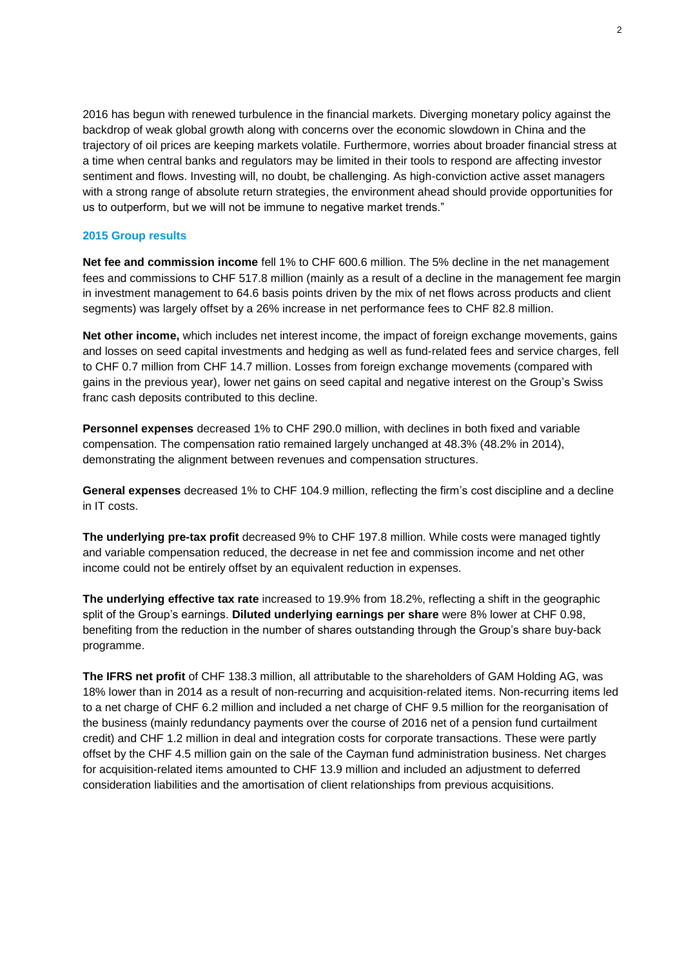2016 has begun with renewed turbulence in the financial markets. Diverging monetary policy against the backdrop of weak global growth along with concerns over the economic slowdown in China and the trajectory of oil prices are keeping markets volatile. Furthermore, worries about broader financial stress at a time when central banks and regulators may be limited in their tools to respond are affecting investor sentiment and flows. Investing will, no doubt, be challenging. As high-conviction active asset managers with a strong range of absolute return strategies, the environment ahead should provide opportunities for us to outperform, but we will not be immune to negative market trends."

#### **2015 Group results**

**Net fee and commission income** fell 1% to CHF 600.6 million. The 5% decline in the net management fees and commissions to CHF 517.8 million (mainly as a result of a decline in the management fee margin in investment management to 64.6 basis points driven by the mix of net flows across products and client segments) was largely offset by a 26% increase in net performance fees to CHF 82.8 million.

**Net other income,** which includes net interest income, the impact of foreign exchange movements, gains and losses on seed capital investments and hedging as well as fund-related fees and service charges, fell to CHF 0.7 million from CHF 14.7 million. Losses from foreign exchange movements (compared with gains in the previous year), lower net gains on seed capital and negative interest on the Group's Swiss franc cash deposits contributed to this decline.

**Personnel expenses** decreased 1% to CHF 290.0 million, with declines in both fixed and variable compensation. The compensation ratio remained largely unchanged at 48.3% (48.2% in 2014), demonstrating the alignment between revenues and compensation structures.

**General expenses** decreased 1% to CHF 104.9 million, reflecting the firm's cost discipline and a decline in IT costs.

**The underlying pre-tax profit** decreased 9% to CHF 197.8 million. While costs were managed tightly and variable compensation reduced, the decrease in net fee and commission income and net other income could not be entirely offset by an equivalent reduction in expenses.

**The underlying effective tax rate** increased to 19.9% from 18.2%, reflecting a shift in the geographic split of the Group's earnings. **Diluted underlying earnings per share** were 8% lower at CHF 0.98, benefiting from the reduction in the number of shares outstanding through the Group's share buy-back programme.

**The IFRS net profit** of CHF 138.3 million, all attributable to the shareholders of GAM Holding AG, was 18% lower than in 2014 as a result of non-recurring and acquisition-related items. Non-recurring items led to a net charge of CHF 6.2 million and included a net charge of CHF 9.5 million for the reorganisation of the business (mainly redundancy payments over the course of 2016 net of a pension fund curtailment credit) and CHF 1.2 million in deal and integration costs for corporate transactions. These were partly offset by the CHF 4.5 million gain on the sale of the Cayman fund administration business. Net charges for acquisition-related items amounted to CHF 13.9 million and included an adjustment to deferred consideration liabilities and the amortisation of client relationships from previous acquisitions.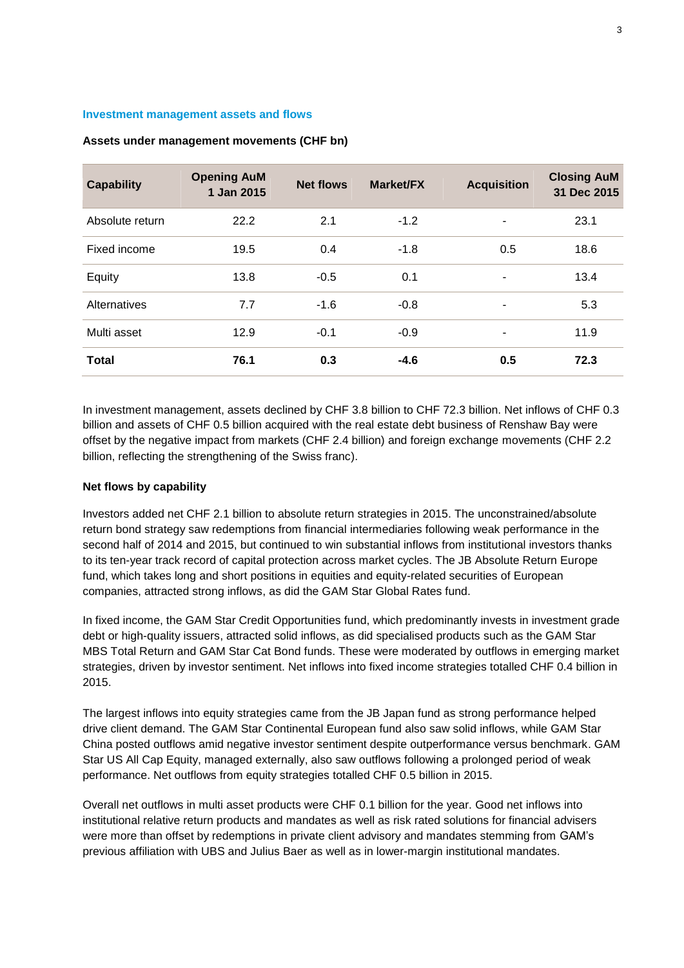#### **Investment management assets and flows**

| <b>Capability</b> | <b>Opening AuM</b><br>1 Jan 2015 | <b>Net flows</b> | Market/FX | <b>Acquisition</b> | <b>Closing AuM</b><br>31 Dec 2015 |
|-------------------|----------------------------------|------------------|-----------|--------------------|-----------------------------------|
| Absolute return   | 22.2                             | 2.1              | $-1.2$    |                    | 23.1                              |
| Fixed income      | 19.5                             | 0.4              | $-1.8$    | 0.5                | 18.6                              |
| Equity            | 13.8                             | $-0.5$           | 0.1       | ۰                  | 13.4                              |
| Alternatives      | 7.7                              | $-1.6$           | $-0.8$    |                    | 5.3                               |
| Multi asset       | 12.9                             | $-0.1$           | $-0.9$    |                    | 11.9                              |
| <b>Total</b>      | 76.1                             | 0.3              | $-4.6$    | 0.5                | 72.3                              |

## **Assets under management movements (CHF bn)**

In investment management, assets declined by CHF 3.8 billion to CHF 72.3 billion. Net inflows of CHF 0.3 billion and assets of CHF 0.5 billion acquired with the real estate debt business of Renshaw Bay were offset by the negative impact from markets (CHF 2.4 billion) and foreign exchange movements (CHF 2.2 billion, reflecting the strengthening of the Swiss franc).

## **Net flows by capability**

Investors added net CHF 2.1 billion to absolute return strategies in 2015. The unconstrained/absolute return bond strategy saw redemptions from financial intermediaries following weak performance in the second half of 2014 and 2015, but continued to win substantial inflows from institutional investors thanks to its ten-year track record of capital protection across market cycles. The JB Absolute Return Europe fund, which takes long and short positions in equities and equity-related securities of European companies, attracted strong inflows, as did the GAM Star Global Rates fund.

In fixed income, the GAM Star Credit Opportunities fund, which predominantly invests in investment grade debt or high-quality issuers, attracted solid inflows, as did specialised products such as the GAM Star MBS Total Return and GAM Star Cat Bond funds. These were moderated by outflows in emerging market strategies, driven by investor sentiment. Net inflows into fixed income strategies totalled CHF 0.4 billion in 2015.

The largest inflows into equity strategies came from the JB Japan fund as strong performance helped drive client demand. The GAM Star Continental European fund also saw solid inflows, while GAM Star China posted outflows amid negative investor sentiment despite outperformance versus benchmark. GAM Star US All Cap Equity, managed externally, also saw outflows following a prolonged period of weak performance. Net outflows from equity strategies totalled CHF 0.5 billion in 2015.

Overall net outflows in multi asset products were CHF 0.1 billion for the year. Good net inflows into institutional relative return products and mandates as well as risk rated solutions for financial advisers were more than offset by redemptions in private client advisory and mandates stemming from GAM's previous affiliation with UBS and Julius Baer as well as in lower-margin institutional mandates.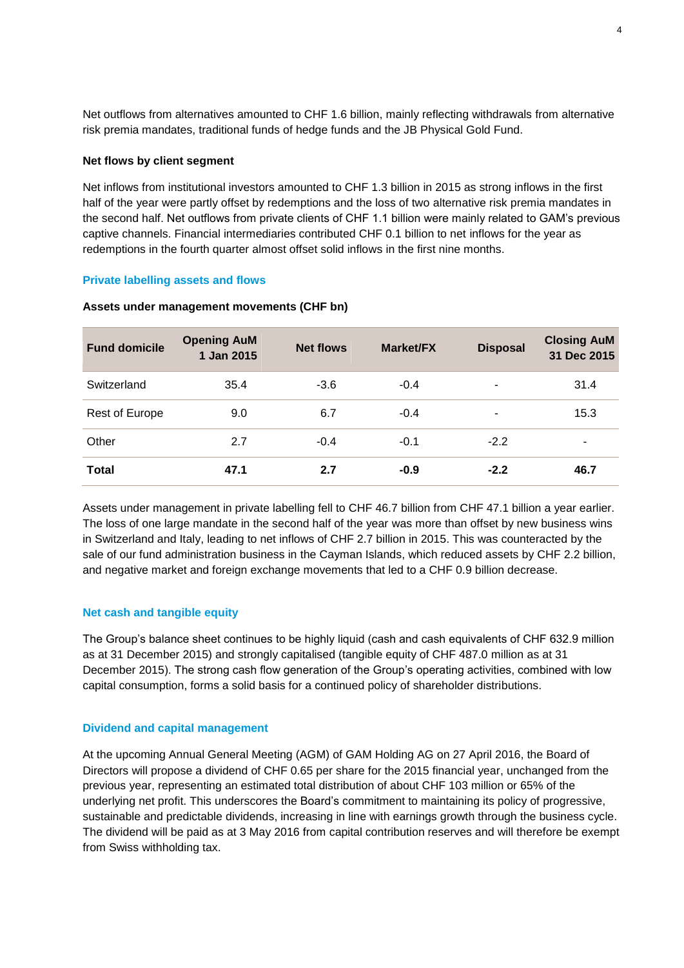Net outflows from alternatives amounted to CHF 1.6 billion, mainly reflecting withdrawals from alternative risk premia mandates, traditional funds of hedge funds and the JB Physical Gold Fund.

## **Net flows by client segment**

Net inflows from institutional investors amounted to CHF 1.3 billion in 2015 as strong inflows in the first half of the year were partly offset by redemptions and the loss of two alternative risk premia mandates in the second half. Net outflows from private clients of CHF 1.1 billion were mainly related to GAM's previous captive channels. Financial intermediaries contributed CHF 0.1 billion to net inflows for the year as redemptions in the fourth quarter almost offset solid inflows in the first nine months.

## **Private labelling assets and flows**

| <b>Fund domicile</b> | <b>Opening AuM</b><br>1 Jan 2015 | <b>Net flows</b> | <b>Market/FX</b> | <b>Disposal</b> | <b>Closing AuM</b><br>31 Dec 2015 |
|----------------------|----------------------------------|------------------|------------------|-----------------|-----------------------------------|
| Switzerland          | 35.4                             | $-3.6$           | $-0.4$           | ٠               | 31.4                              |
| Rest of Europe       | 9.0                              | 6.7              | $-0.4$           | ۰               | 15.3                              |
| Other                | 2.7                              | $-0.4$           | $-0.1$           | $-2.2$          |                                   |
| <b>Total</b>         | 47.1                             | 2.7              | $-0.9$           | $-2.2$          | 46.7                              |

## **Assets under management movements (CHF bn)**

Assets under management in private labelling fell to CHF 46.7 billion from CHF 47.1 billion a year earlier. The loss of one large mandate in the second half of the year was more than offset by new business wins in Switzerland and Italy, leading to net inflows of CHF 2.7 billion in 2015. This was counteracted by the sale of our fund administration business in the Cayman Islands, which reduced assets by CHF 2.2 billion, and negative market and foreign exchange movements that led to a CHF 0.9 billion decrease.

## **Net cash and tangible equity**

The Group's balance sheet continues to be highly liquid (cash and cash equivalents of CHF 632.9 million as at 31 December 2015) and strongly capitalised (tangible equity of CHF 487.0 million as at 31 December 2015). The strong cash flow generation of the Group's operating activities, combined with low capital consumption, forms a solid basis for a continued policy of shareholder distributions.

## **Dividend and capital management**

At the upcoming Annual General Meeting (AGM) of GAM Holding AG on 27 April 2016, the Board of Directors will propose a dividend of CHF 0.65 per share for the 2015 financial year, unchanged from the previous year, representing an estimated total distribution of about CHF 103 million or 65% of the underlying net profit. This underscores the Board's commitment to maintaining its policy of progressive, sustainable and predictable dividends, increasing in line with earnings growth through the business cycle. The dividend will be paid as at 3 May 2016 from capital contribution reserves and will therefore be exempt from Swiss withholding tax.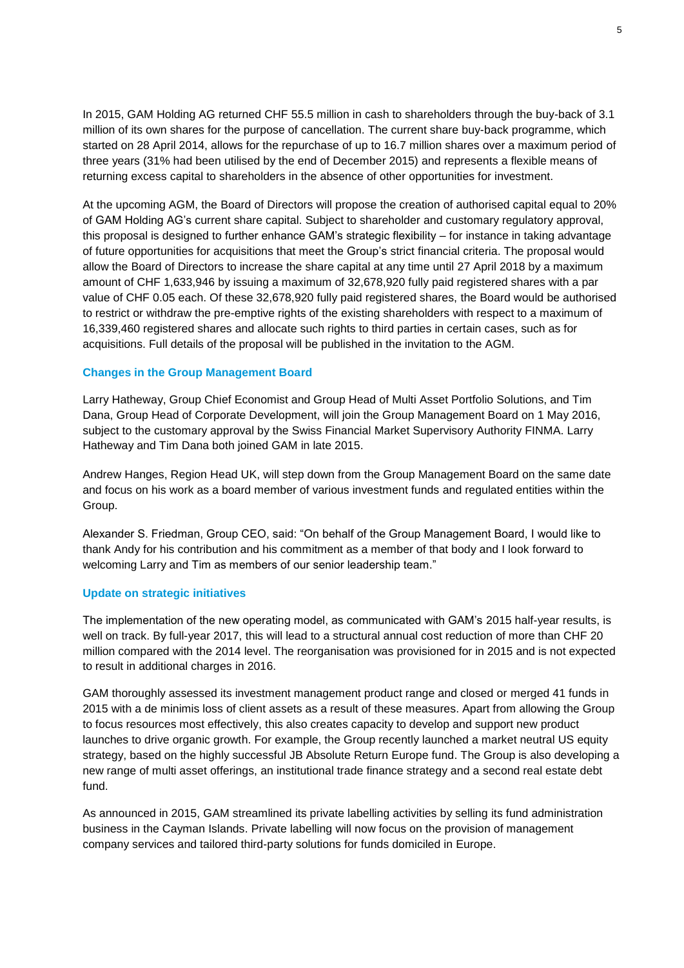In 2015, GAM Holding AG returned CHF 55.5 million in cash to shareholders through the buy-back of 3.1 million of its own shares for the purpose of cancellation. The current share buy-back programme, which started on 28 April 2014, allows for the repurchase of up to 16.7 million shares over a maximum period of three years (31% had been utilised by the end of December 2015) and represents a flexible means of returning excess capital to shareholders in the absence of other opportunities for investment.

At the upcoming AGM, the Board of Directors will propose the creation of authorised capital equal to 20% of GAM Holding AG's current share capital. Subject to shareholder and customary regulatory approval, this proposal is designed to further enhance GAM's strategic flexibility – for instance in taking advantage of future opportunities for acquisitions that meet the Group's strict financial criteria. The proposal would allow the Board of Directors to increase the share capital at any time until 27 April 2018 by a maximum amount of CHF 1,633,946 by issuing a maximum of 32,678,920 fully paid registered shares with a par value of CHF 0.05 each. Of these 32,678,920 fully paid registered shares, the Board would be authorised to restrict or withdraw the pre-emptive rights of the existing shareholders with respect to a maximum of 16,339,460 registered shares and allocate such rights to third parties in certain cases, such as for acquisitions. Full details of the proposal will be published in the invitation to the AGM.

## **Changes in the Group Management Board**

Larry Hatheway, Group Chief Economist and Group Head of Multi Asset Portfolio Solutions, and Tim Dana, Group Head of Corporate Development, will join the Group Management Board on 1 May 2016, subject to the customary approval by the Swiss Financial Market Supervisory Authority FINMA. Larry Hatheway and Tim Dana both joined GAM in late 2015.

Andrew Hanges, Region Head UK, will step down from the Group Management Board on the same date and focus on his work as a board member of various investment funds and regulated entities within the Group.

Alexander S. Friedman, Group CEO, said: "On behalf of the Group Management Board, I would like to thank Andy for his contribution and his commitment as a member of that body and I look forward to welcoming Larry and Tim as members of our senior leadership team."

## **Update on strategic initiatives**

The implementation of the new operating model, as communicated with GAM's 2015 half-year results, is well on track. By full-year 2017, this will lead to a structural annual cost reduction of more than CHF 20 million compared with the 2014 level. The reorganisation was provisioned for in 2015 and is not expected to result in additional charges in 2016.

GAM thoroughly assessed its investment management product range and closed or merged 41 funds in 2015 with a de minimis loss of client assets as a result of these measures. Apart from allowing the Group to focus resources most effectively, this also creates capacity to develop and support new product launches to drive organic growth. For example, the Group recently launched a market neutral US equity strategy, based on the highly successful JB Absolute Return Europe fund. The Group is also developing a new range of multi asset offerings, an institutional trade finance strategy and a second real estate debt fund.

As announced in 2015, GAM streamlined its private labelling activities by selling its fund administration business in the Cayman Islands. Private labelling will now focus on the provision of management company services and tailored third-party solutions for funds domiciled in Europe.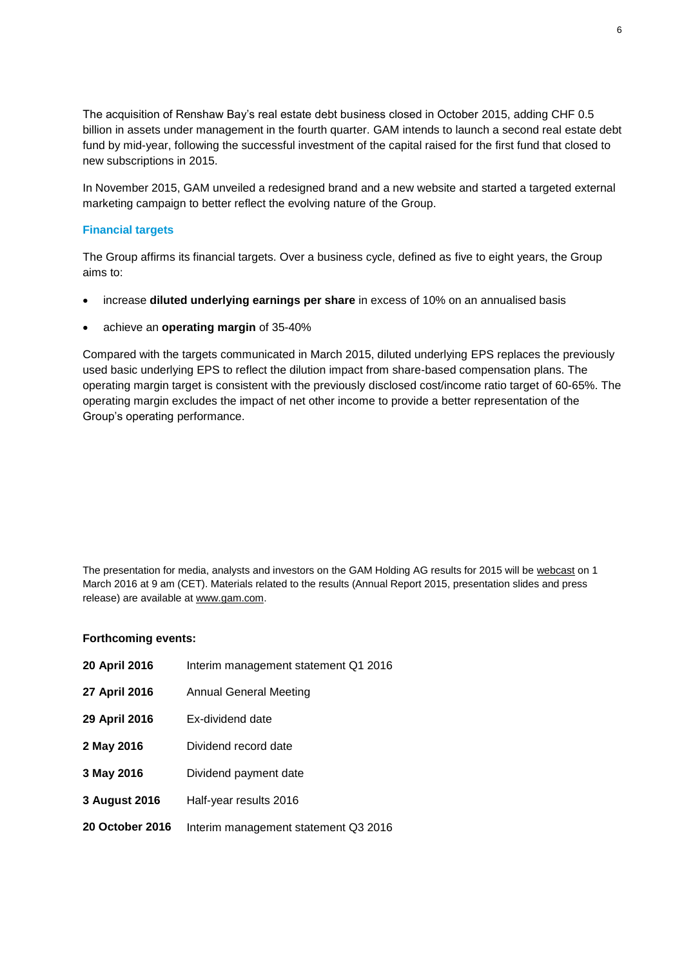The acquisition of Renshaw Bay's real estate debt business closed in October 2015, adding CHF 0.5 billion in assets under management in the fourth quarter. GAM intends to launch a second real estate debt fund by mid-year, following the successful investment of the capital raised for the first fund that closed to new subscriptions in 2015.

In November 2015, GAM unveiled a redesigned brand and a new website and started a targeted external marketing campaign to better reflect the evolving nature of the Group.

## **Financial targets**

The Group affirms its financial targets. Over a business cycle, defined as five to eight years, the Group aims to:

- increase **diluted underlying earnings per share** in excess of 10% on an annualised basis
- achieve an **operating margin** of 35-40%

Compared with the targets communicated in March 2015, diluted underlying EPS replaces the previously used basic underlying EPS to reflect the dilution impact from share-based compensation plans. The operating margin target is consistent with the previously disclosed cost/income ratio target of 60-65%. The operating margin excludes the impact of net other income to provide a better representation of the Group's operating performance.

The presentation for media, analysts and investors on the GAM Holding AG results for 2015 will be [webcast](https://www.gam.com/en/our-company-content/investor-relations/results-centre/results-centre/) on 1 March 2016 at 9 am (CET). Materials related to the results (Annual Report 2015, presentation slides and press release) are available a[t www.gam.com.](http://www.gam.com/)

## **Forthcoming events:**

| 20 April 2016          | Interim management statement Q1 2016 |
|------------------------|--------------------------------------|
| 27 April 2016          | Annual General Meeting               |
| 29 April 2016          | Ex-dividend date                     |
| 2 May 2016             | Dividend record date                 |
| 3 May 2016             | Dividend payment date                |
| 3 August 2016          | Half-year results 2016               |
| <b>20 October 2016</b> | Interim management statement Q3 2016 |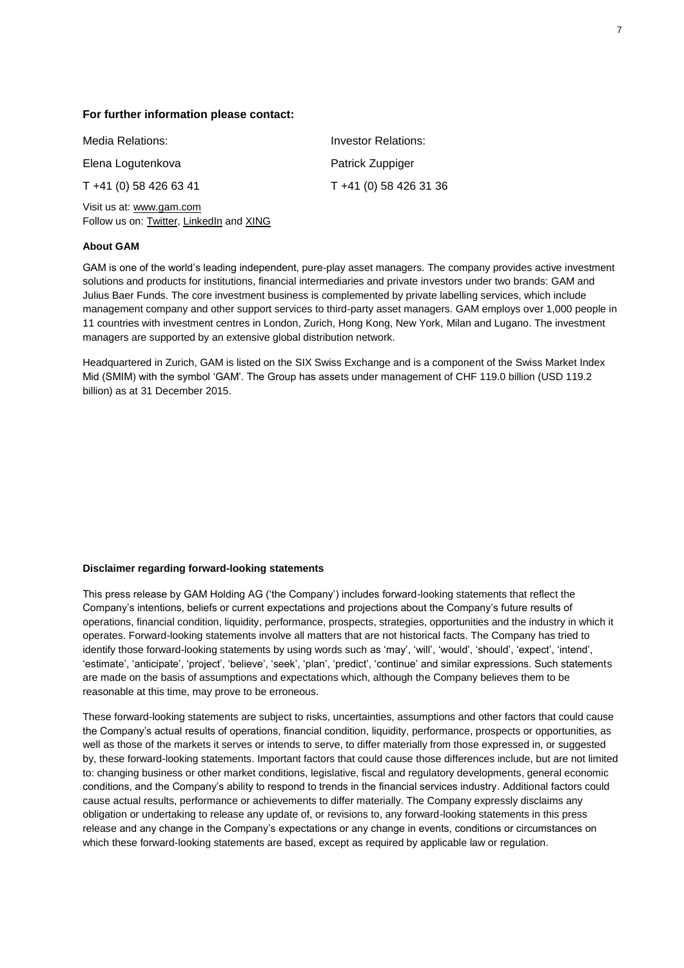#### **For further information please contact:**

| Media Relations:                                                     | Investor Relations:    |
|----------------------------------------------------------------------|------------------------|
| Elena Logutenkova                                                    | Patrick Zuppiger       |
| $T + 41(0)$ 58 426 63 41                                             | T +41 (0) 58 426 31 36 |
| Visit us at: www.gam.com<br>Follow us on: Twitter, LinkedIn and XING |                        |

#### **About GAM**

GAM is one of the world's leading independent, pure-play asset managers. The company provides active investment solutions and products for institutions, financial intermediaries and private investors under two brands: GAM and Julius Baer Funds. The core investment business is complemented by private labelling services, which include management company and other support services to third-party asset managers. GAM employs over 1,000 people in 11 countries with investment centres in London, Zurich, Hong Kong, New York, Milan and Lugano. The investment managers are supported by an extensive global distribution network.

Headquartered in Zurich, GAM is listed on the SIX Swiss Exchange and is a component of the Swiss Market Index Mid (SMIM) with the symbol 'GAM'. The Group has assets under management of CHF 119.0 billion (USD 119.2 billion) as at 31 December 2015.

#### **Disclaimer regarding forward-looking statements**

This press release by GAM Holding AG ('the Company') includes forward-looking statements that reflect the Company's intentions, beliefs or current expectations and projections about the Company's future results of operations, financial condition, liquidity, performance, prospects, strategies, opportunities and the industry in which it operates. Forward-looking statements involve all matters that are not historical facts. The Company has tried to identify those forward-looking statements by using words such as 'may', 'will', 'would', 'should', 'expect', 'intend', 'estimate', 'anticipate', 'project', 'believe', 'seek', 'plan', 'predict', 'continue' and similar expressions. Such statements are made on the basis of assumptions and expectations which, although the Company believes them to be reasonable at this time, may prove to be erroneous.

These forward-looking statements are subject to risks, uncertainties, assumptions and other factors that could cause the Company's actual results of operations, financial condition, liquidity, performance, prospects or opportunities, as well as those of the markets it serves or intends to serve, to differ materially from those expressed in, or suggested by, these forward-looking statements. Important factors that could cause those differences include, but are not limited to: changing business or other market conditions, legislative, fiscal and regulatory developments, general economic conditions, and the Company's ability to respond to trends in the financial services industry. Additional factors could cause actual results, performance or achievements to differ materially. The Company expressly disclaims any obligation or undertaking to release any update of, or revisions to, any forward-looking statements in this press release and any change in the Company's expectations or any change in events, conditions or circumstances on which these forward-looking statements are based, except as required by applicable law or regulation.